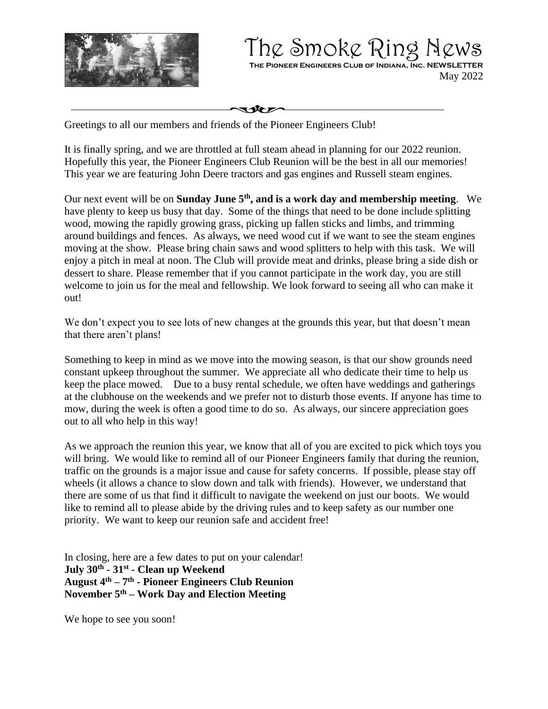

The Smoke Ring News **The Pioneer Engineers Club of Indiana, Inc. NEWSLETTER** May 2022

いなし

Greetings to all our members and friends of the Pioneer Engineers Club!

It is finally spring, and we are throttled at full steam ahead in planning for our 2022 reunion. Hopefully this year, the Pioneer Engineers Club Reunion will be the best in all our memories! This year we are featuring John Deere tractors and gas engines and Russell steam engines.

Our next event will be on **Sunday June 5th , and is a work day and membership meeting**. We have plenty to keep us busy that day. Some of the things that need to be done include splitting wood, mowing the rapidly growing grass, picking up fallen sticks and limbs, and trimming around buildings and fences. As always, we need wood cut if we want to see the steam engines moving at the show. Please bring chain saws and wood splitters to help with this task. We will enjoy a pitch in meal at noon. The Club will provide meat and drinks, please bring a side dish or dessert to share. Please remember that if you cannot participate in the work day, you are still welcome to join us for the meal and fellowship. We look forward to seeing all who can make it out!

We don't expect you to see lots of new changes at the grounds this year, but that doesn't mean that there aren't plans!

Something to keep in mind as we move into the mowing season, is that our show grounds need constant upkeep throughout the summer. We appreciate all who dedicate their time to help us keep the place mowed. Due to a busy rental schedule, we often have weddings and gatherings at the clubhouse on the weekends and we prefer not to disturb those events. If anyone has time to mow, during the week is often a good time to do so. As always, our sincere appreciation goes out to all who help in this way!

As we approach the reunion this year, we know that all of you are excited to pick which toys you will bring. We would like to remind all of our Pioneer Engineers family that during the reunion, traffic on the grounds is a major issue and cause for safety concerns. If possible, please stay off wheels (it allows a chance to slow down and talk with friends). However, we understand that there are some of us that find it difficult to navigate the weekend on just our boots. We would like to remind all to please abide by the driving rules and to keep safety as our number one priority. We want to keep our reunion safe and accident free!

In closing, here are a few dates to put on your calendar! **July 30th - 31st - Clean up Weekend August 4 th – 7 th - Pioneer Engineers Club Reunion November 5th – Work Day and Election Meeting**

We hope to see you soon!